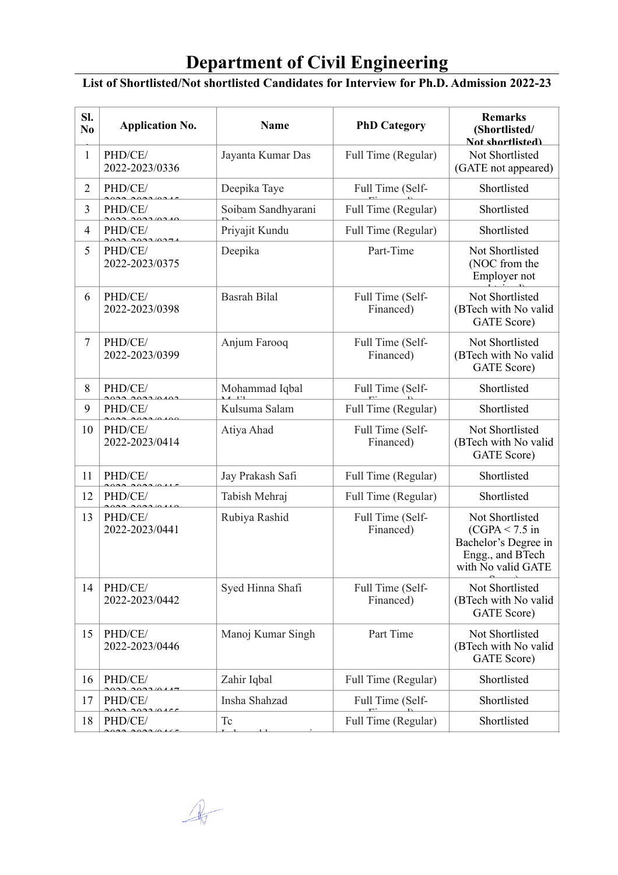## **Department of Civil Engineering**

## **List of Shortlisted/Not shortlisted Candidates for Interview for Ph.D. Admission 2022-23**

| Sl.<br>N <sub>0</sub> | <b>Application No.</b>                        | <b>Name</b>         | <b>PhD Category</b>           | <b>Remarks</b><br>(Shortlisted/<br>Not shortlisted)                                                   |
|-----------------------|-----------------------------------------------|---------------------|-------------------------------|-------------------------------------------------------------------------------------------------------|
| 1                     | PHD/CE/<br>2022-2023/0336                     | Jayanta Kumar Das   | Full Time (Regular)           | Not Shortlisted<br>(GATE not appeared)                                                                |
| $\overline{2}$        | PHD/CE/<br>0.22220210215                      | Deepika Taye        | Full Time (Self-              | Shortlisted                                                                                           |
| 3                     | PHD/CE/<br>0.2210210                          | Soibam Sandhyarani  | Full Time (Regular)           | Shortlisted                                                                                           |
| 4                     | PHD/CE/<br>$\sim$ $\sim$ $\sim$ $\sim$ $\sim$ | Priyajit Kundu      | Full Time (Regular)           | Shortlisted                                                                                           |
| 5                     | PHD/CE/<br>2022-2023/0375                     | Deepika             | Part-Time                     | Not Shortlisted<br>(NOC from the<br>Employer not                                                      |
| 6                     | PHD/CE/<br>2022-2023/0398                     | <b>Basrah Bilal</b> | Full Time (Self-<br>Financed) | Not Shortlisted<br>(BTech with No valid<br>GATE Score)                                                |
| 7                     | PHD/CE/<br>2022-2023/0399                     | Anjum Farooq        | Full Time (Self-<br>Financed) | Not Shortlisted<br>(BTech with No valid<br><b>GATE</b> Score)                                         |
| 8                     | PHD/CE/                                       | Mohammad Iqbal      | Full Time (Self-              | Shortlisted                                                                                           |
| 9                     | PHD/CE/                                       | Kulsuma Salam       | Full Time (Regular)           | Shortlisted                                                                                           |
| 10                    | PHD/CE/<br>2022-2023/0414                     | Atiya Ahad          | Full Time (Self-<br>Financed) | Not Shortlisted<br>(BTech with No valid<br><b>GATE</b> Score)                                         |
| 11                    | PHD/CE/                                       | Jay Prakash Safi    | Full Time (Regular)           | Shortlisted                                                                                           |
| 12                    | PHD/CE/<br>$202210110$                        | Tabish Mehraj       | Full Time (Regular)           | Shortlisted                                                                                           |
| 13                    | PHD/CE/<br>2022-2023/0441                     | Rubiya Rashid       | Full Time (Self-<br>Financed) | Not Shortlisted<br>$(CGPA < 7.5$ in<br>Bachelor's Degree in<br>Engg., and BTech<br>with No valid GATE |
| 14                    | PHD/CE/<br>2022-2023/0442                     | Syed Hinna Shafi    | Full Time (Self-<br>Financed) | Not Shortlisted<br>(BTech with No valid<br>GATE Score)                                                |
| 15                    | PHD/CE/<br>2022-2023/0446                     | Manoj Kumar Singh   | Part Time                     | Not Shortlisted<br>(BTech with No valid<br>GATE Score)                                                |
| 16                    | PHD/CE/                                       | Zahir Iqbal         | Full Time (Regular)           | Shortlisted                                                                                           |
| 17                    | PHD/CE/                                       | Insha Shahzad       | Full Time (Self-              | Shortlisted                                                                                           |
| 18                    | PHD/CE/<br>$\sim$ $\sim$ $\sim$               | Tc                  | Full Time (Regular)           | Shortlisted                                                                                           |

 $\mathbb{R}$